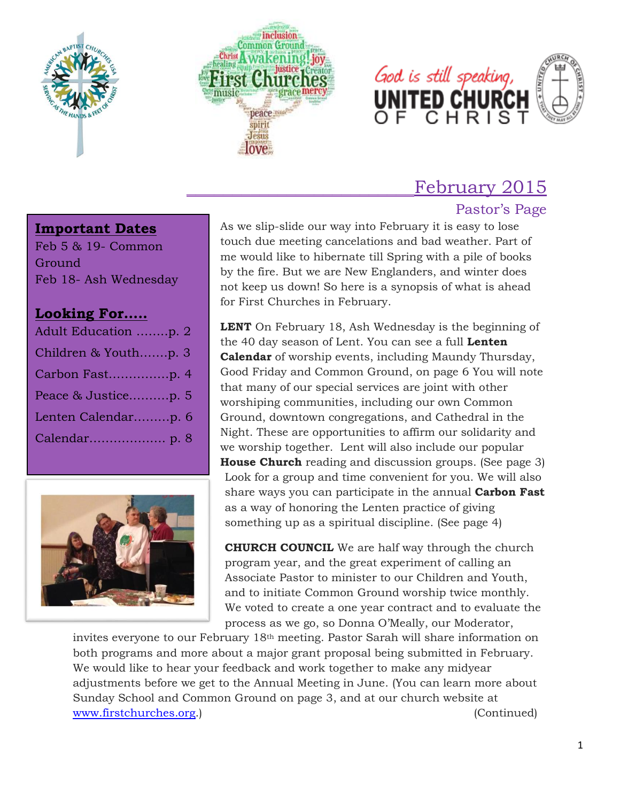





# February 2015

# Pastor's Page

### **Important Dates**

Feb 5 & 19- Common Ground Feb 18- Ash Wednesday

# **Looking For…..**

| Adult Education p. 2 |
|----------------------|
| Children & Youthp. 3 |
| Carbon Fastp. 4      |
| Peace & Justicep. 5  |
| Lenten Calendarp. 6  |
|                      |
|                      |



As we slip-slide our way into February it is easy to lose touch due meeting cancelations and bad weather. Part of me would like to hibernate till Spring with a pile of books by the fire. But we are New Englanders, and winter does not keep us down! So here is a synopsis of what is ahead for First Churches in February.

**LENT** On February 18, Ash Wednesday is the beginning of the 40 day season of Lent. You can see a full **Lenten Calendar** of worship events, including Maundy Thursday, Good Friday and Common Ground, on page 6 You will note that many of our special services are joint with other worshiping communities, including our own Common Ground, downtown congregations, and Cathedral in the Night. These are opportunities to affirm our solidarity and we worship together. Lent will also include our popular **House Church** reading and discussion groups. (See page 3) Look for a group and time convenient for you. We will also share ways you can participate in the annual **Carbon Fast** as a way of honoring the Lenten practice of giving something up as a spiritual discipline. (See page 4)

**CHURCH COUNCIL** We are half way through the church program year, and the great experiment of calling an Associate Pastor to minister to our Children and Youth, and to initiate Common Ground worship twice monthly. We voted to create a one year contract and to evaluate the process as we go, so Donna O'Meally, our Moderator,

invites everyone to our February 18th meeting. Pastor Sarah will share information on both programs and more about a major grant proposal being submitted in February. We would like to hear your feedback and work together to make any midyear adjustments before we get to the Annual Meeting in June. (You can learn more about Sunday School and Common Ground on page 3, and at our church website at [www.firstchurches.org.](http://www.firstchurches.org/)) (Continued)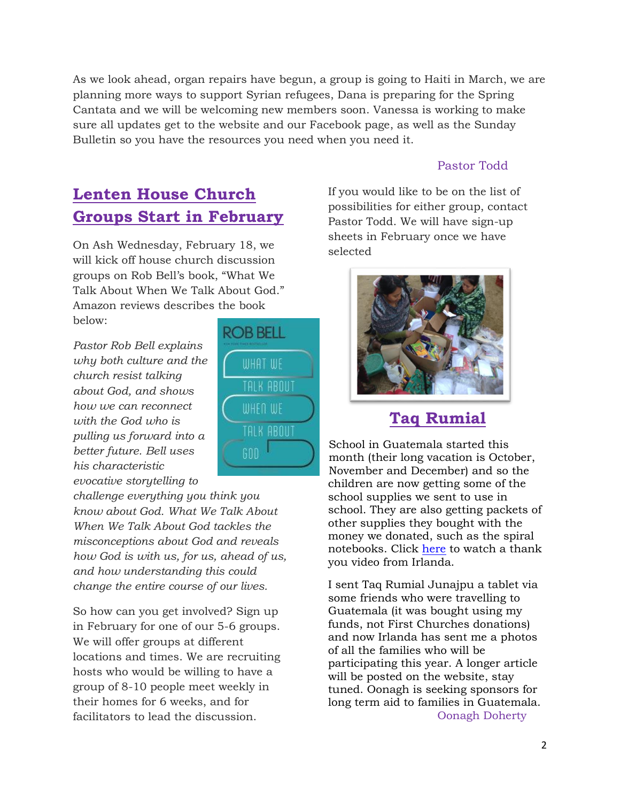As we look ahead, organ repairs have begun, a group is going to Haiti in March, we are planning more ways to support Syrian refugees, Dana is preparing for the Spring Cantata and we will be welcoming new members soon. Vanessa is working to make sure all updates get to the website and our Facebook page, as well as the Sunday Bulletin so you have the resources you need when you need it.

#### Pastor Todd

# **Lenten House Church Groups Start in February**

On Ash Wednesday, February 18, we will kick off house church discussion groups on Rob Bell's book, "What We Talk About When We Talk About God." Amazon reviews describes the book below:

*Pastor Rob Bell explains why both culture and the church resist talking about God, and shows how we can reconnect with the God who is pulling us forward into a better future. Bell uses his characteristic evocative storytelling to* 

*challenge everything you think you know about God. What We Talk About When We Talk About God tackles the misconceptions about God and reveals how God is with us, for us, ahead of us, and how understanding this could change the entire course of our lives.*

So how can you get involved? Sign up in February for one of our 5-6 groups. We will offer groups at different locations and times. We are recruiting hosts who would be willing to have a group of 8-10 people meet weekly in their homes for 6 weeks, and for facilitators to lead the discussion.



If you would like to be on the list of possibilities for either group, contact Pastor Todd. We will have sign-up sheets in February once we have selected



# **Taq Rumial**

School in Guatemala started this month (their long vacation is October, November and December) and so the children are now getting some of the school supplies we sent to use in school. They are also getting packets of other supplies they bought with the money we donated, such as the spiral notebooks. Click [here](https://onedrive.live.com/?cid=420b73fae5002f24&id=420B73FAE5002F24%21258&Bsrc=Share&Bpub=SDX.SkyDrive&authkey=%21An0iY0qm80bs6lg&v=3) to watch a thank you video from Irlanda.

I sent Taq Rumial Junajpu a tablet via some friends who were travelling to Guatemala (it was bought using my funds, not First Churches donations) and now Irlanda has sent me a photos of all the families who will be participating this year. A longer article will be posted on the website, stay tuned. Oonagh is seeking sponsors for long term aid to families in Guatemala. Oonagh Doherty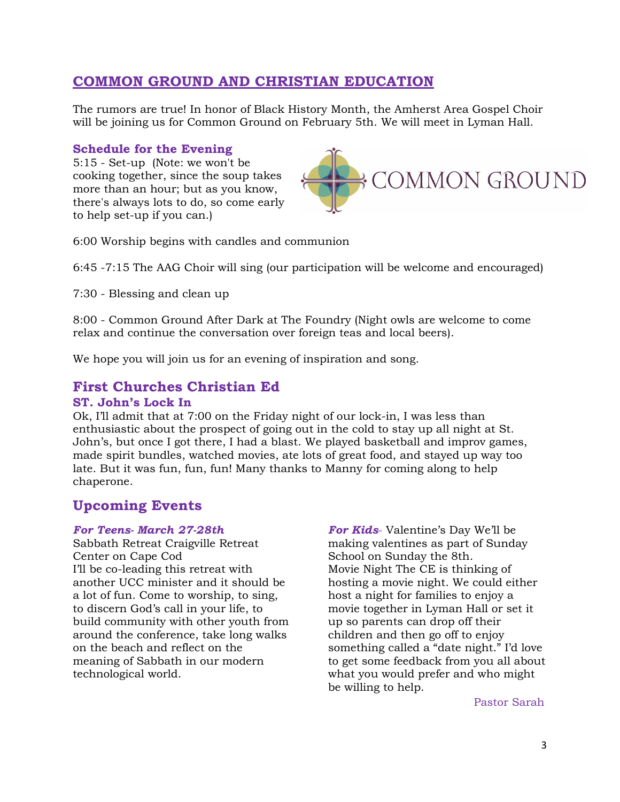# **COMMON GROUND AND CHRISTIAN EDUCATION**

The rumors are true! In honor of Black History Month, the Amherst Area Gospel Choir will be joining us for Common Ground on February 5th. We will meet in Lyman Hall.

# **Schedule for the Evening**

5:15 - Set-up (Note: we won't be cooking together, since the soup takes more than an hour; but as you know, there's always lots to do, so come early to help set-up if you can.)



6:00 Worship begins with candles and communion

6:45 -7:15 The AAG Choir will sing (our participation will be welcome and encouraged)

7:30 - Blessing and clean up

8:00 - Common Ground After Dark at The Foundry (Night owls are welcome to come relax and continue the conversation over foreign teas and local beers).

We hope you will join us for an evening of inspiration and song.

# **First Churches Christian Ed**

#### **ST. John's Lock In**

Ok, I'll admit that at 7:00 on the Friday night of our lock-in, I was less than enthusiastic about the prospect of going out in the cold to stay up all night at St. John's, but once I got there, I had a blast. We played basketball and improv games, made spirit bundles, watched movies, ate lots of great food, and stayed up way too late. But it was fun, fun, fun! Many thanks to Manny for coming along to help chaperone.

# **Upcoming Events**

#### *For Teens- March 27-28th*

Sabbath Retreat Craigville Retreat Center on Cape Cod I'll be co-leading this retreat with another UCC minister and it should be a lot of fun. Come to worship, to sing, to discern God's call in your life, to build community with other youth from around the conference, take long walks on the beach and reflect on the meaning of Sabbath in our modern technological world.

*For Kids*- Valentine's Day We'll be making valentines as part of Sunday School on Sunday the 8th. Movie Night The CE is thinking of hosting a movie night. We could either host a night for families to enjoy a movie together in Lyman Hall or set it up so parents can drop off their children and then go off to enjoy something called a "date night." I'd love to get some feedback from you all about what you would prefer and who might be willing to help.

Pastor Sarah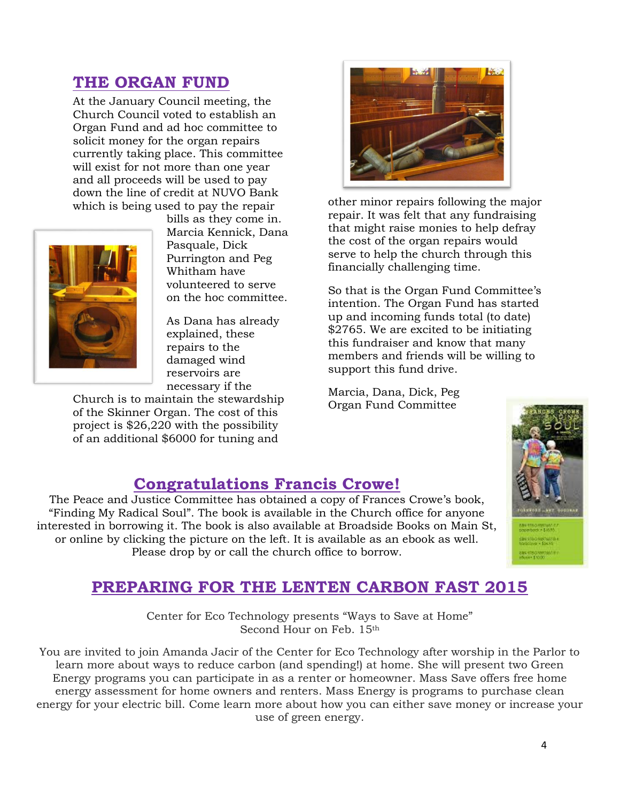# **THE ORGAN FUND**

At the January Council meeting, the Church Council voted to establish an Organ Fund and ad hoc committee to solicit money for the organ repairs currently taking place. This committee will exist for not more than one year and all proceeds will be used to pay down the line of credit at NUVO Bank which is being used to pay the repair



bills as they come in. Marcia Kennick, Dana Pasquale, Dick Purrington and Peg Whitham have volunteered to serve on the hoc committee.

As Dana has already explained, these repairs to the damaged wind reservoirs are necessary if the

Church is to maintain the stewardship of the Skinner Organ. The cost of this project is \$26,220 with the possibility of an additional \$6000 for tuning and



other minor repairs following the major repair. It was felt that any fundraising that might raise monies to help defray the cost of the organ repairs would serve to help the church through this financially challenging time.

So that is the Organ Fund Committee's intention. The Organ Fund has started up and incoming funds total (to date) \$2765. We are excited to be initiating this fundraiser and know that many members and friends will be willing to support this fund drive.

Marcia, Dana, Dick, Peg Organ Fund Committee



# **Congratulations Francis Crowe!**

The Peace and Justice Committee has obtained a copy of Frances Crowe's book, "Finding My Radical Soul". The book is available in the Church office for anyone interested in borrowing it. The book is also available at Broadside Books on Main St, or online by clicking the picture on the left. It is available as an ebook as well. Please drop by or call the church office to borrow.

# **PREPARING FOR THE LENTEN CARBON FAST 2015**

Center for Eco Technology presents "Ways to Save at Home" Second Hour on Feb. 15th

You are invited to join Amanda Jacir of the Center for Eco Technology after worship in the Parlor to learn more about ways to reduce carbon (and spending!) at home. She will present two Green Energy programs you can participate in as a renter or homeowner. Mass Save offers free home energy assessment for home owners and renters. Mass Energy is programs to purchase clean energy for your electric bill. Come learn more about how you can either save money or increase your use of green energy.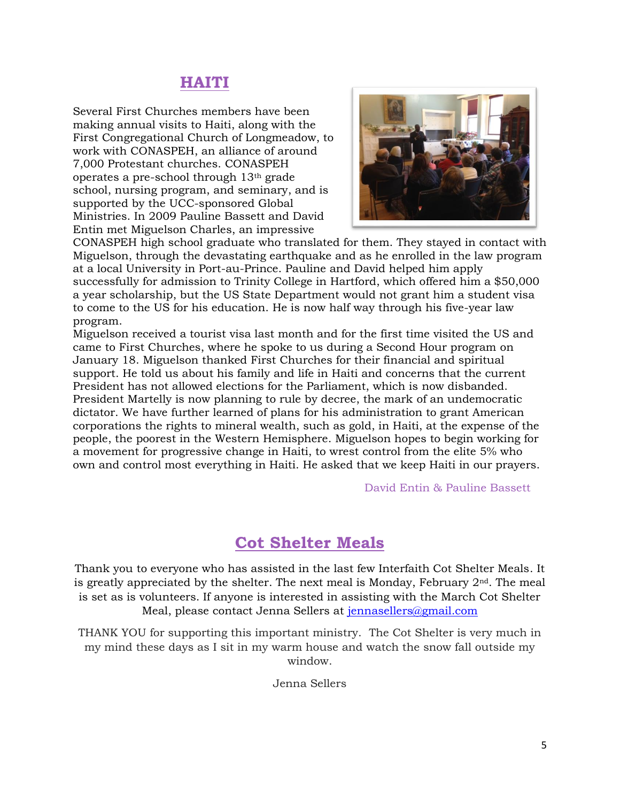# **HAITI**

Several First Churches members have been making annual visits to Haiti, along with the First Congregational Church of Longmeadow, to work with CONASPEH, an alliance of around 7,000 Protestant churches. CONASPEH operates a pre-school through 13th grade school, nursing program, and seminary, and is supported by the UCC-sponsored Global Ministries. In 2009 Pauline Bassett and David Entin met Miguelson Charles, an impressive



CONASPEH high school graduate who translated for them. They stayed in contact with Miguelson, through the devastating earthquake and as he enrolled in the law program at a local University in Port-au-Prince. Pauline and David helped him apply successfully for admission to Trinity College in Hartford, which offered him a \$50,000 a year scholarship, but the US State Department would not grant him a student visa to come to the US for his education. He is now half way through his five-year law program.

Miguelson received a tourist visa last month and for the first time visited the US and came to First Churches, where he spoke to us during a Second Hour program on January 18. Miguelson thanked First Churches for their financial and spiritual support. He told us about his family and life in Haiti and concerns that the current President has not allowed elections for the Parliament, which is now disbanded. President Martelly is now planning to rule by decree, the mark of an undemocratic dictator. We have further learned of plans for his administration to grant American corporations the rights to mineral wealth, such as gold, in Haiti, at the expense of the people, the poorest in the Western Hemisphere. Miguelson hopes to begin working for a movement for progressive change in Haiti, to wrest control from the elite 5% who own and control most everything in Haiti. He asked that we keep Haiti in our prayers.

#### David Entin & Pauline Bassett

# **Cot Shelter Meals**

Thank you to everyone who has assisted in the last few Interfaith Cot Shelter Meals. It is greatly appreciated by the shelter. The next meal is Monday, February  $2<sup>nd</sup>$ . The meal is set as is volunteers. If anyone is interested in assisting with the March Cot Shelter Meal, please contact Jenna Sellers at [jennasellers@gmail.com](mailto:jennasellers@gmail.com)

THANK YOU for supporting this important ministry. The Cot Shelter is very much in my mind these days as I sit in my warm house and watch the snow fall outside my window.

Jenna Sellers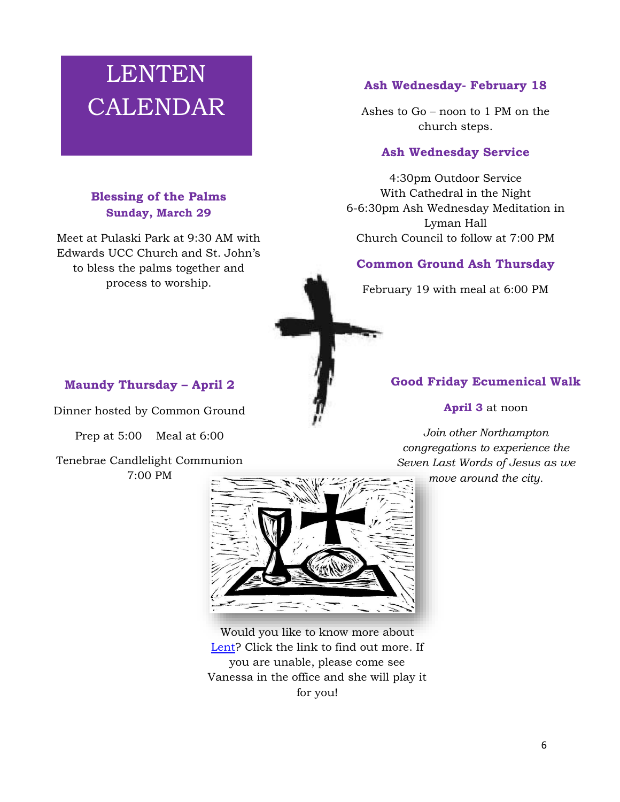# LENTEN CALENDAR

## **Blessing of the Palms Sunday, March 29**

Meet at Pulaski Park at 9:30 AM with Edwards UCC Church and St. John's to bless the palms together and process to worship.

#### **Ash Wednesday- February 18**

Ashes to Go – noon to 1 PM on the church steps.

#### **Ash Wednesday Service**

4:30pm Outdoor Service With Cathedral in the Night 6-6:30pm Ash Wednesday Meditation in Lyman Hall Church Council to follow at 7:00 PM

#### **Common Ground Ash Thursday**

February 19 with meal at 6:00 PM



#### **Good Friday Ecumenical Walk**

**April 3** at noon

*Join other Northampton congregations to experience the Seven Last Words of Jesus as we* 

*move around the city.*

#### **Maundy Thursday – April 2**

Dinner hosted by Common Ground

Prep at 5:00 Meal at 6:00

Tenebrae Candlelight Communion

7:00 PM



Would you like to know more about [Lent?](https://www.youtube.com/watch?v=m3L3c23MfC0) Click the link to find out more. If you are unable, please come see Vanessa in the office and she will play it for you!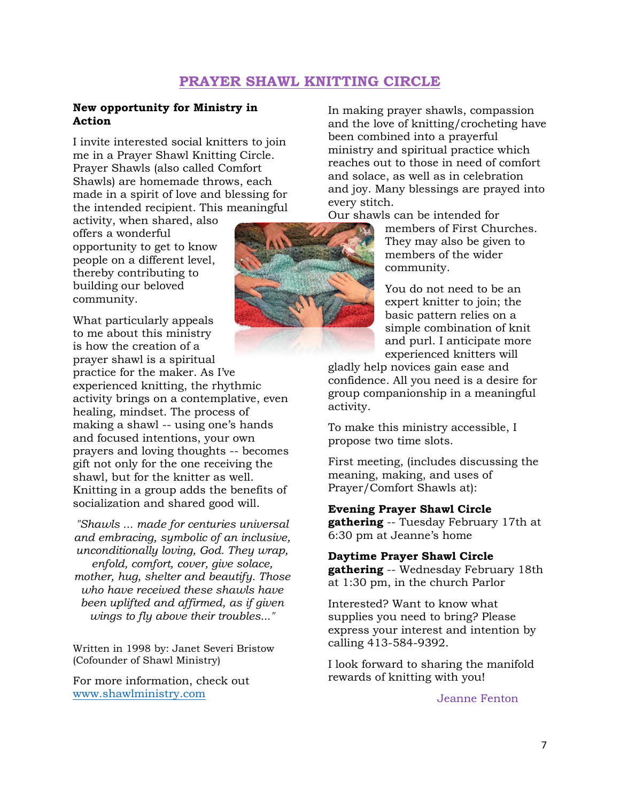# **PRAYER SHAWL KNITTING CIRCLE**

#### **New opportunity for Ministry in Action**

I invite interested social knitters to join me in a Prayer Shawl Knitting Circle. Prayer Shawls (also called Comfort Shawls) are homemade throws, each made in a spirit of love and blessing for the intended recipient. This meaningful

activity, when shared, also offers a wonderful opportunity to get to know people on a different level, thereby contributing to building our beloved community.

What particularly appeals to me about this ministry is how the creation of a prayer shawl is a spiritual practice for the maker. As I've experienced knitting, the rhythmic activity brings on a contemplative, even healing, mindset. The process of making a shawl -- using one's hands and focused intentions, your own prayers and loving thoughts -- becomes gift not only for the one receiving the shawl, but for the knitter as well. Knitting in a group adds the benefits of socialization and shared good will.

*"Shawls ... made for centuries universal and embracing, symbolic of an inclusive, unconditionally loving, God. They wrap, enfold, comfort, cover, give solace, mother, hug, shelter and beautify. Those who have received these shawls have been uplifted and affirmed, as if given wings to fly above their troubles..."*

Written in 1998 by: Janet Severi Bristow (Cofounder of Shawl Ministry)

For more information, check out [www.shawlministry.com](http://www.shawlministry.com/)



In making prayer shawls, compassion and the love of knitting/crocheting have been combined into a prayerful ministry and spiritual practice which reaches out to those in need of comfort and solace, as well as in celebration and joy. Many blessings are prayed into every stitch.

Our shawls can be intended for

members of First Churches. They may also be given to members of the wider community.

You do not need to be an expert knitter to join; the basic pattern relies on a simple combination of knit and purl. I anticipate more experienced knitters will

gladly help novices gain ease and confidence. All you need is a desire for group companionship in a meaningful activity.

To make this ministry accessible, I propose two time slots.

First meeting, (includes discussing the meaning, making, and uses of Prayer/Comfort Shawls at):

#### **Evening Prayer Shawl Circle gathering** -- Tuesday February 17th at 6:30 pm at Jeanne's home

**Daytime Prayer Shawl Circle gathering** -- Wednesday February 18th at 1:30 pm, in the church Parlor

Interested? Want to know what supplies you need to bring? Please express your interest and intention by calling 413-584-9392.

I look forward to sharing the manifold rewards of knitting with you!

Jeanne Fenton